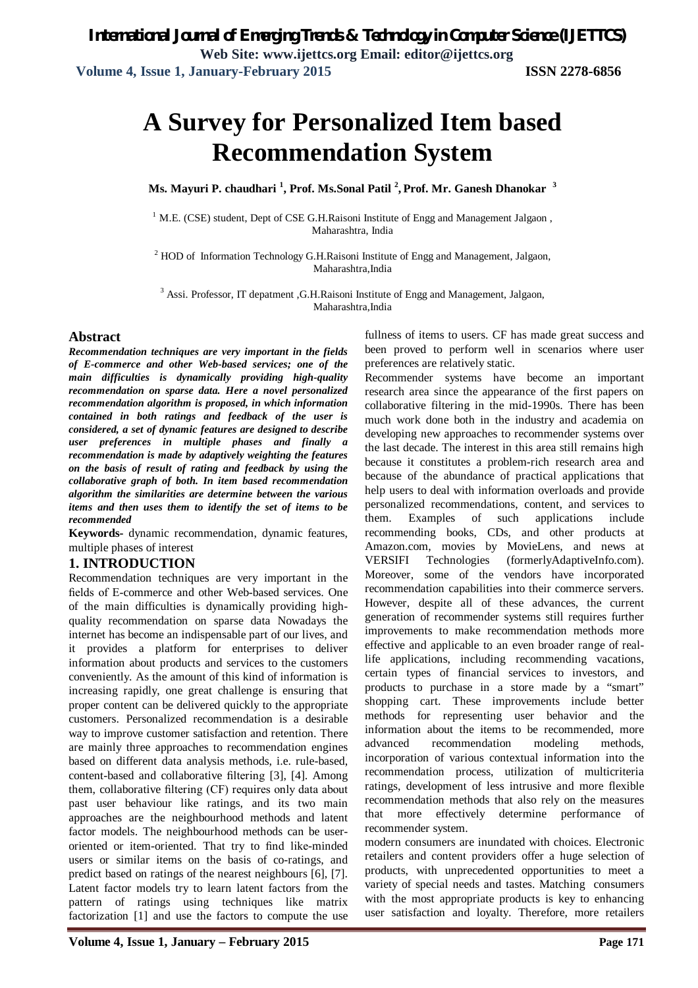# **A Survey for Personalized Item based Recommendation System**

**Ms. Mayuri P. chaudhari <sup>1</sup> , Prof. Ms.Sonal Patil <sup>2</sup> , Prof. Mr. Ganesh Dhanokar <sup>3</sup>**

<sup>1</sup> M.E. (CSE) student, Dept of CSE G.H.Raisoni Institute of Engg and Management Jalgaon, Maharashtra, India

<sup>2</sup> HOD of Information Technology G.H.Raisoni Institute of Engg and Management, Jalgaon, Maharashtra,India

<sup>3</sup> Assi. Professor, IT depatment , G.H.Raisoni Institute of Engg and Management, Jalgaon, Maharashtra,India

### **Abstract**

*Recommendation techniques are very important in the fields of E-commerce and other Web-based services; one of the main difficulties is dynamically providing high-quality recommendation on sparse data. Here a novel personalized recommendation algorithm is proposed, in which information contained in both ratings and feedback of the user is considered, a set of dynamic features are designed to describe user preferences in multiple phases and finally a recommendation is made by adaptively weighting the features on the basis of result of rating and feedback by using the collaborative graph of both. In item based recommendation algorithm the similarities are determine between the various items and then uses them to identify the set of items to be recommended* 

**Keywords-** dynamic recommendation, dynamic features, multiple phases of interest

### **1. INTRODUCTION**

Recommendation techniques are very important in the fields of E-commerce and other Web-based services. One of the main difficulties is dynamically providing highquality recommendation on sparse data Nowadays the internet has become an indispensable part of our lives, and it provides a platform for enterprises to deliver information about products and services to the customers conveniently. As the amount of this kind of information is increasing rapidly, one great challenge is ensuring that proper content can be delivered quickly to the appropriate customers. Personalized recommendation is a desirable way to improve customer satisfaction and retention. There are mainly three approaches to recommendation engines based on different data analysis methods, i.e. rule-based, content-based and collaborative filtering [3], [4]. Among them, collaborative filtering (CF) requires only data about past user behaviour like ratings, and its two main approaches are the neighbourhood methods and latent factor models. The neighbourhood methods can be useroriented or item-oriented. That try to find like-minded users or similar items on the basis of co-ratings, and predict based on ratings of the nearest neighbours [6], [7]. Latent factor models try to learn latent factors from the pattern of ratings using techniques like matrix factorization [1] and use the factors to compute the use

fullness of items to users. CF has made great success and been proved to perform well in scenarios where user preferences are relatively static.

Recommender systems have become an important research area since the appearance of the first papers on collaborative filtering in the mid-1990s. There has been much work done both in the industry and academia on developing new approaches to recommender systems over the last decade. The interest in this area still remains high because it constitutes a problem-rich research area and because of the abundance of practical applications that help users to deal with information overloads and provide personalized recommendations, content, and services to them. Examples of such applications include recommending books, CDs, and other products at Amazon.com, movies by MovieLens, and news at VERSIFI Technologies (formerlyAdaptiveInfo.com). Moreover, some of the vendors have incorporated recommendation capabilities into their commerce servers. However, despite all of these advances, the current generation of recommender systems still requires further improvements to make recommendation methods more effective and applicable to an even broader range of reallife applications, including recommending vacations, certain types of financial services to investors, and products to purchase in a store made by a "smart" shopping cart. These improvements include better methods for representing user behavior and the information about the items to be recommended, more advanced recommendation modeling methods, incorporation of various contextual information into the recommendation process, utilization of multicriteria ratings, development of less intrusive and more flexible recommendation methods that also rely on the measures that more effectively determine performance of recommender system.

modern consumers are inundated with choices. Electronic retailers and content providers offer a huge selection of products, with unprecedented opportunities to meet a variety of special needs and tastes. Matching consumers with the most appropriate products is key to enhancing user satisfaction and loyalty. Therefore, more retailers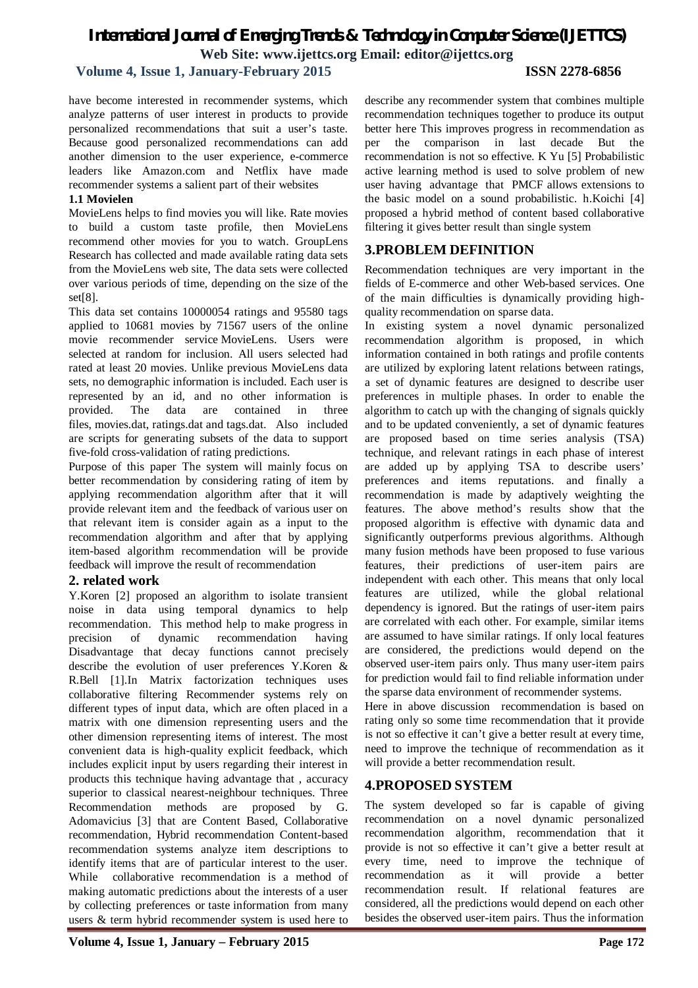# *International Journal of Emerging Trends & Technology in Computer Science (IJETTCS)* **Web Site: www.ijettcs.org Email: editor@ijettcs.org**

## **Volume 4, Issue 1, January-February 2015 ISSN 2278-6856**

have become interested in recommender systems, which analyze patterns of user interest in products to provide personalized recommendations that suit a user's taste. Because good personalized recommendations can add another dimension to the user experience, e-commerce leaders like Amazon.com and Netflix have made recommender systems a salient part of their websites

#### **1.1 Movielen**

MovieLens helps to find movies you will like. Rate movies to build a custom taste profile, then MovieLens recommend other movies for you to watch. GroupLens Research has collected and made available rating data sets from the MovieLens web site, The data sets were collected over various periods of time, depending on the size of the set[8].

This data set contains 10000054 ratings and 95580 tags applied to 10681 movies by 71567 users of the online movie recommender service MovieLens. Users were selected at random for inclusion. All users selected had rated at least 20 movies. Unlike previous MovieLens data sets, no demographic information is included. Each user is represented by an id, and no other information is provided. The data are contained in three files, movies.dat, ratings.dat and tags.dat. Also included are scripts for generating subsets of the data to support five-fold cross-validation of rating predictions.

Purpose of this paper The system will mainly focus on better recommendation by considering rating of item by applying recommendation algorithm after that it will provide relevant item and the feedback of various user on that relevant item is consider again as a input to the recommendation algorithm and after that by applying item-based algorithm recommendation will be provide feedback will improve the result of recommendation

### **2. related work**

Y.Koren [2] proposed an algorithm to isolate transient noise in data using temporal dynamics to help recommendation. This method help to make progress in precision of dynamic recommendation having Disadvantage that decay functions cannot precisely describe the evolution of user preferences Y.Koren & R.Bell [1].In Matrix factorization techniques uses collaborative filtering Recommender systems rely on different types of input data, which are often placed in a matrix with one dimension representing users and the other dimension representing items of interest. The most convenient data is high-quality explicit feedback, which includes explicit input by users regarding their interest in products this technique having advantage that , accuracy superior to classical nearest-neighbour techniques. Three Recommendation methods are proposed by G. Adomavicius [3] that are Content Based, Collaborative recommendation, Hybrid recommendation Content-based recommendation systems analyze item descriptions to identify items that are of particular interest to the user. While collaborative recommendation is a method of making automatic predictions about the interests of a user by collecting preferences or taste information from many users & term hybrid recommender system is used here to

describe any recommender system that combines multiple recommendation techniques together to produce its output better here This improves progress in recommendation as per the comparison in last decade But the recommendation is not so effective. K Yu [5] Probabilistic active learning method is used to solve problem of new user having advantage that PMCF allows extensions to the basic model on a sound probabilistic. h.Koichi [4] proposed a hybrid method of content based collaborative filtering it gives better result than single system

# **3.PROBLEM DEFINITION**

Recommendation techniques are very important in the fields of E-commerce and other Web-based services. One of the main difficulties is dynamically providing highquality recommendation on sparse data.

In existing system a novel dynamic personalized recommendation algorithm is proposed, in which information contained in both ratings and profile contents are utilized by exploring latent relations between ratings, a set of dynamic features are designed to describe user preferences in multiple phases. In order to enable the algorithm to catch up with the changing of signals quickly and to be updated conveniently, a set of dynamic features are proposed based on time series analysis (TSA) technique, and relevant ratings in each phase of interest are added up by applying TSA to describe users' preferences and items reputations. and finally a recommendation is made by adaptively weighting the features. The above method's results show that the proposed algorithm is effective with dynamic data and significantly outperforms previous algorithms. Although many fusion methods have been proposed to fuse various features, their predictions of user-item pairs are independent with each other. This means that only local features are utilized, while the global relational dependency is ignored. But the ratings of user-item pairs are correlated with each other. For example, similar items are assumed to have similar ratings. If only local features are considered, the predictions would depend on the observed user-item pairs only. Thus many user-item pairs for prediction would fail to find reliable information under the sparse data environment of recommender systems.

Here in above discussion recommendation is based on rating only so some time recommendation that it provide is not so effective it can't give a better result at every time, need to improve the technique of recommendation as it will provide a better recommendation result.

# **4.PROPOSED SYSTEM**

The system developed so far is capable of giving recommendation on a novel dynamic personalized recommendation algorithm, recommendation that it provide is not so effective it can't give a better result at every time, need to improve the technique of recommendation as it will provide a better recommendation result. If relational features are considered, all the predictions would depend on each other besides the observed user-item pairs. Thus the information